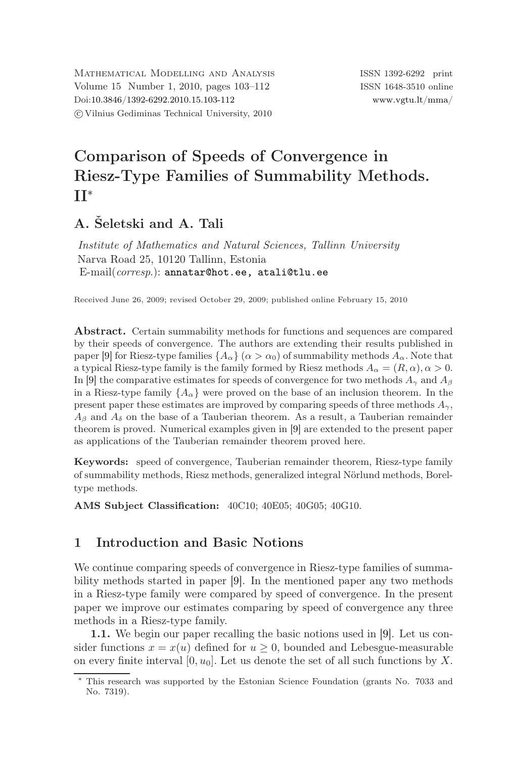MATHEMATICAL MODELLING AND ANALYSIS ISSN 1392-6292 print Volume 15 Number 1, 2010, pages 103–112 ISSN 1648-3510 online Doi[:10.3846/1392-6292.2010.15.103-112](http://dx.doi.org/10.3846/1392-6292.2010.15.103-112) [www.vgtu.lt/mma/](http://www.vgtu.lt/mma/) c Vilnius Gediminas Technical University, 2010

# Comparison of Speeds of Convergence in Riesz-Type Families of Summability Methods. II<sup>∗</sup>

# A. Šeletski and A. Tali

*Institute of Mathematics and Natural Sciences, Tallinn University* Narva Road 25, 10120 Tallinn, Estonia E-mail(*corresp*.): [annatar@hot.ee, atali@tlu.ee](mailto:annatar@hot.ee, atali@tlu.ee)

Received June 26, 2009; revised October 29, 2009; published online February 15, 2010

Abstract. Certain summability methods for functions and sequences are compared by their speeds of convergence. The authors are extending their results published in paper [\[9\]](#page-9-0) for Riesz-type families  $\{A_{\alpha}\}\ (\alpha > \alpha_0)$  of summability methods  $A_{\alpha}$ . Note that a typical Riesz-type family is the family formed by Riesz methods  $A_{\alpha} = (R, \alpha), \alpha > 0$ . In [\[9\]](#page-9-0) the comparative estimates for speeds of convergence for two methods  $A_{\gamma}$  and  $A_{\beta}$ in a Riesz-type family  $\{A_{\alpha}\}\$  were proved on the base of an inclusion theorem. In the present paper these estimates are improved by comparing speeds of three methods  $A_{\gamma}$ ,  $A_{\beta}$  and  $A_{\delta}$  on the base of a Tauberian theorem. As a result, a Tauberian remainder theorem is proved. Numerical examples given in [\[9\]](#page-9-0) are extended to the present paper as applications of the Tauberian remainder theorem proved here.

Keywords: speed of convergence, Tauberian remainder theorem, Riesz-type family of summability methods, Riesz methods, generalized integral Nörlund methods, Boreltype methods.

AMS Subject Classification: 40C10; 40E05; 40G05; 40G10.

## 1 Introduction and Basic Notions

We continue comparing speeds of convergence in Riesz-type families of summability methods started in paper [\[9\]](#page-9-0). In the mentioned paper any two methods in a Riesz-type family were compared by speed of convergence. In the present paper we improve our estimates comparing by speed of convergence any three methods in a Riesz-type family.

1.1. We begin our paper recalling the basic notions used in [\[9\]](#page-9-0). Let us consider functions  $x = x(u)$  defined for  $u > 0$ , bounded and Lebesgue-measurable on every finite interval  $[0, u_0]$ . Let us denote the set of all such functions by X.

<sup>∗</sup> This research was supported by the Estonian Science Foundation (grants No. 7033 and No. 7319).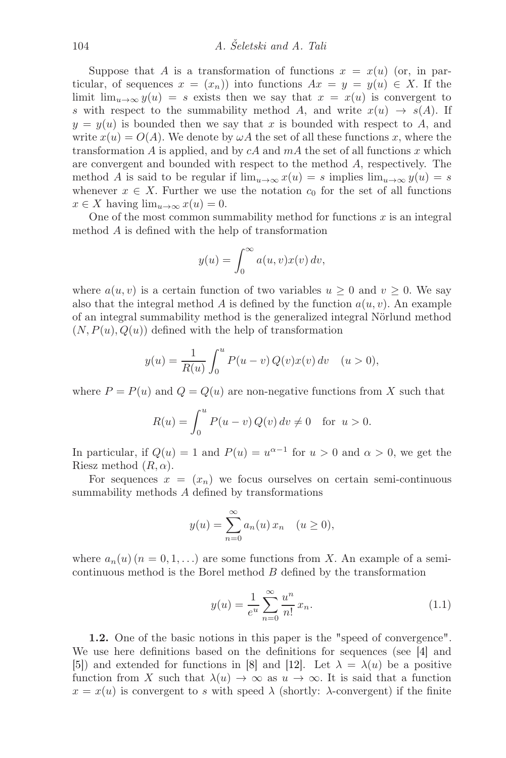Suppose that A is a transformation of functions  $x = x(u)$  (or, in particular, of sequences  $x = (x_n)$  into functions  $Ax = y = y(u) \in X$ . If the limit  $\lim_{u\to\infty} y(u) = s$  exists then we say that  $x = x(u)$  is convergent to s with respect to the summability method A, and write  $x(u) \rightarrow s(A)$ . If  $y = y(u)$  is bounded then we say that x is bounded with respect to A, and write  $x(u) = O(A)$ . We denote by  $\omega A$  the set of all these functions x, where the transformation A is applied, and by  $cA$  and  $mA$  the set of all functions x which are convergent and bounded with respect to the method A, respectively. The method A is said to be regular if  $\lim_{u\to\infty}x(u) = s$  implies  $\lim_{u\to\infty}y(u) = s$ whenever  $x \in X$ . Further we use the notation  $c_0$  for the set of all functions  $x \in X$  having  $\lim_{u \to \infty} x(u) = 0$ .

One of the most common summability method for functions  $x$  is an integral method A is defined with the help of transformation

$$
y(u) = \int_0^\infty a(u, v)x(v) dv,
$$

where  $a(u, v)$  is a certain function of two variables  $u \geq 0$  and  $v \geq 0$ . We say also that the integral method A is defined by the function  $a(u, v)$ . An example of an integral summability method is the generalized integral Nörlund method  $(N, P(u), Q(u))$  defined with the help of transformation

$$
y(u) = \frac{1}{R(u)} \int_0^u P(u - v) Q(v) x(v) dv \quad (u > 0),
$$

where  $P = P(u)$  and  $Q = Q(u)$  are non-negative functions from X such that

$$
R(u) = \int_0^u P(u - v) Q(v) dv \neq 0 \text{ for } u > 0.
$$

In particular, if  $Q(u) = 1$  and  $P(u) = u^{\alpha-1}$  for  $u > 0$  and  $\alpha > 0$ , we get the Riesz method  $(R, \alpha)$ .

For sequences  $x = (x_n)$  we focus ourselves on certain semi-continuous summability methods A defined by transformations

$$
y(u) = \sum_{n=0}^{\infty} a_n(u) x_n \quad (u \ge 0),
$$

where  $a_n(u)$   $(n = 0, 1, \ldots)$  are some functions from X. An example of a semicontinuous method is the Borel method B defined by the transformation

$$
y(u) = \frac{1}{e^u} \sum_{n=0}^{\infty} \frac{u^n}{n!} x_n.
$$
 (1.1)

1.2. One of the basic notions in this paper is the "speed of convergence". We use here definitions based on the definitions for sequences (see [\[4\]](#page-9-1) and [\[5\]](#page-9-2)) and extended for functions in [\[8\]](#page-9-3) and [\[12\]](#page-9-4). Let  $\lambda = \lambda(u)$  be a positive function from X such that  $\lambda(u) \to \infty$  as  $u \to \infty$ . It is said that a function  $x = x(u)$  is convergent to s with speed  $\lambda$  (shortly:  $\lambda$ -convergent) if the finite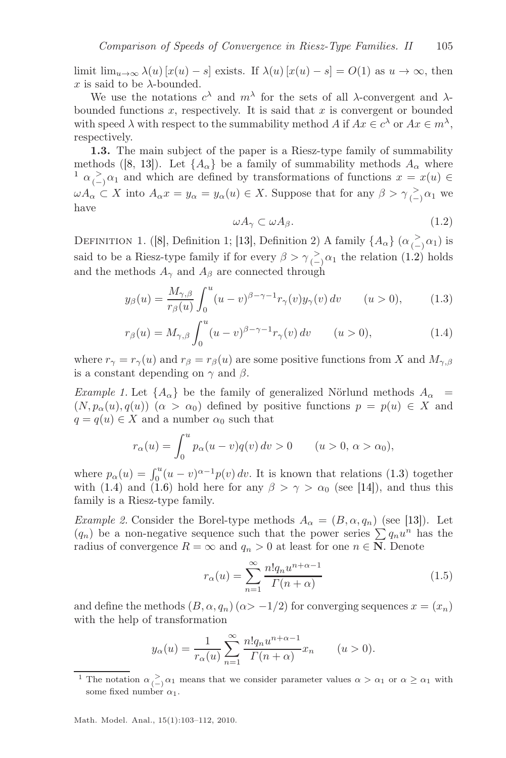limit  $\lim_{u\to\infty}\lambda(u)[x(u)-s]$  exists. If  $\lambda(u)[x(u)-s]=O(1)$  as  $u\to\infty$ , then x is said to be  $\lambda$ -bounded.

We use the notations  $c^{\lambda}$  and  $m^{\lambda}$  for the sets of all  $\lambda$ -convergent and  $\lambda$ bounded functions  $x$ , respectively. It is said that  $x$  is convergent or bounded with speed  $\lambda$  with respect to the summability method A if  $Ax \in c^{\lambda}$  or  $Ax \in m^{\lambda}$ , respectively.

1.3. The main subject of the paper is a Riesz-type family of summability methods ([\[8,](#page-9-3) [13\]](#page-9-5)). Let  $\{A_{\alpha}\}\$ be a family of summability methods  $A_{\alpha}$  where <sup>[1](#page-2-0)</sup>  $\alpha \geq \alpha_1$  and which are defined by transformations of functions  $x = x(u) \in$  $\omega A_{\alpha} \subset X$  into  $A_{\alpha} x = y_{\alpha} = y_{\alpha}(u) \in X$ . Suppose that for any  $\beta > \gamma \frac{1}{(-)} \alpha_1$  we have

<span id="page-2-3"></span><span id="page-2-2"></span>
$$
\omega A_{\gamma} \subset \omega A_{\beta}.\tag{1.2}
$$

<span id="page-2-1"></span>DEFINITION 1. ([\[8\]](#page-9-3), Definition 1; [\[13\]](#page-9-5), Definition 2) A family  $\{A_{\alpha}\}\ (\alpha_{(-)}^> \alpha_1)$  is said to be a Riesz-type family if for every  $\beta > \gamma \frac{1}{(-)} \alpha_1$  the relation [\(1.2\)](#page-2-1) holds and the methods  $A_{\gamma}$  and  $A_{\beta}$  are connected through

$$
y_{\beta}(u) = \frac{M_{\gamma,\beta}}{r_{\beta}(u)} \int_0^u (u-v)^{\beta-\gamma-1} r_{\gamma}(v) y_{\gamma}(v) dv \qquad (u>0), \qquad (1.3)
$$

$$
r_{\beta}(u) = M_{\gamma,\beta} \int_0^u (u - v)^{\beta - \gamma - 1} r_{\gamma}(v) dv \qquad (u > 0),
$$
 (1.4)

where  $r_{\gamma} = r_{\gamma}(u)$  and  $r_{\beta} = r_{\beta}(u)$  are some positive functions from X and  $M_{\gamma,\beta}$ is a constant depending on  $\gamma$  and  $\beta$ .

*Example 1.* Let  $\{A_{\alpha}\}\$ be the family of generalized Nörlund methods  $A_{\alpha}$  =  $(N, p_{\alpha}(u), q(u))$   $(\alpha > \alpha_0)$  defined by positive functions  $p = p(u) \in X$  and  $q = q(u) \in X$  and a number  $\alpha_0$  such that

$$
r_{\alpha}(u) = \int_0^u p_{\alpha}(u - v)q(v) dv > 0 \qquad (u > 0, \, \alpha > \alpha_0),
$$

where  $p_{\alpha}(u) = \int_0^u (u-v)^{\alpha-1} p(v) dv$ . It is known that relations [\(1.3\)](#page-2-2) together with [\(1.4\)](#page-2-3) and [\(1.6\)](#page-3-0) hold here for any  $\beta > \gamma > \alpha_0$  (see [\[14\]](#page-9-6)), and thus this family is a Riesz-type family.

*Example 2.* Consider the Borel-type methods  $A_{\alpha} = (B, \alpha, q_n)$  (see [\[13\]](#page-9-5)). Let  $(q_n)$  be a non-negative sequence such that the power series  $\sum q_n u^n$  has the radius of convergence  $R = \infty$  and  $q_n > 0$  at least for one  $n \in \mathbb{N}$ . Denote

<span id="page-2-4"></span>
$$
r_{\alpha}(u) = \sum_{n=1}^{\infty} \frac{n! q_n u^{n+\alpha-1}}{\Gamma(n+\alpha)}
$$
\n(1.5)

and define the methods  $(B, \alpha, q_n)$  ( $\alpha > -1/2$ ) for converging sequences  $x = (x_n)$ with the help of transformation

$$
y_{\alpha}(u) = \frac{1}{r_{\alpha}(u)} \sum_{n=1}^{\infty} \frac{n! q_n u^{n+\alpha-1}}{\Gamma(n+\alpha)} x_n \qquad (u > 0).
$$

<span id="page-2-0"></span><sup>&</sup>lt;sup>1</sup> The notation  $\alpha \geq \alpha_1$  means that we consider parameter values  $\alpha > \alpha_1$  or  $\alpha \geq \alpha_1$  with some fixed number  $\alpha_1$ .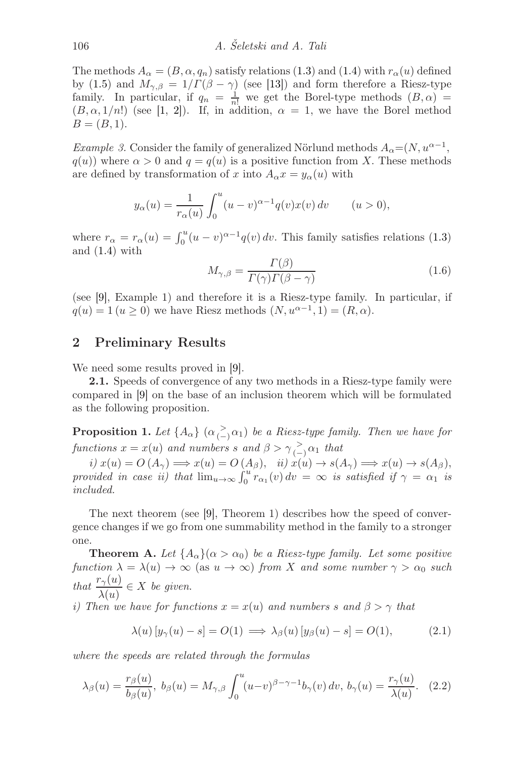The methods  $A_{\alpha} = (B, \alpha, q_n)$  satisfy relations [\(1.3\)](#page-2-2) and [\(1.4\)](#page-2-3) with  $r_{\alpha}(u)$  defined by [\(1.5\)](#page-2-4) and  $M_{\gamma,\beta} = 1/\Gamma(\beta - \gamma)$  (see [\[13\]](#page-9-5)) and form therefore a Riesz-type family. In particular, if  $q_n = \frac{1}{n!}$  we get the Borel-type methods  $(B, \alpha) =$  $(B, \alpha, 1/n!)$  (see [\[1,](#page-9-7) [2\]](#page-9-8)). If, in addition,  $\alpha = 1$ , we have the Borel method  $B = (B, 1).$ 

<span id="page-3-2"></span>*Example 3.* Consider the family of generalized Nörlund methods  $A_{\alpha} = (N, u^{\alpha-1},$  $q(u)$ ) where  $\alpha > 0$  and  $q = q(u)$  is a positive function from X. These methods are defined by transformation of x into  $A_{\alpha} x = y_{\alpha}(u)$  with

<span id="page-3-0"></span>
$$
y_{\alpha}(u) = \frac{1}{r_{\alpha}(u)} \int_0^u (u - v)^{\alpha - 1} q(v) x(v) \, dv \qquad (u > 0),
$$

where  $r_{\alpha} = r_{\alpha}(u) = \int_0^u (u - v)^{\alpha - 1} q(v) dv$ . This family satisfies relations [\(1.3\)](#page-2-2) and [\(1.4\)](#page-2-3) with

$$
M_{\gamma,\beta} = \frac{\Gamma(\beta)}{\Gamma(\gamma)\Gamma(\beta - \gamma)}\tag{1.6}
$$

(see [\[9\]](#page-9-0), Example 1) and therefore it is a Riesz-type family. In particular, if  $q(u) = 1 (u \ge 0)$  we have Riesz methods  $(N, u^{\alpha-1}, 1) = (R, \alpha)$ .

#### 2 Preliminary Results

We need some results proved in [\[9\]](#page-9-0).

2.1. Speeds of convergence of any two methods in a Riesz-type family were compared in [\[9\]](#page-9-0) on the base of an inclusion theorem which will be formulated as the following proposition.

**Proposition 1.** Let  $\{A_{\alpha}\}\ ( \alpha \geq \alpha_1)$  be a Riesz-type family. Then we have for  $functions x = x(u)$  *and numbers*  $s$  *and*  $\beta > \gamma \geq_{(-)} \alpha_1$  *that* 

*i)*  $x(u) = O(A_\gamma) \Longrightarrow x(u) = O(A_\beta),$  *ii)*  $x(u) \to s(A_\gamma) \Longrightarrow x(u) \to s(A_\beta),$ *provided in case ii)* that  $\lim_{u\to\infty} \int_0^u \overline{r_{\alpha_1}(v)} dv = \infty$  is satisfied if  $\gamma = \alpha_1$  is *included.*

The next theorem (see [\[9\]](#page-9-0), Theorem 1) describes how the speed of convergence changes if we go from one summability method in the family to a stronger one.

**Theorem A.** Let  $\{A_{\alpha}\}(\alpha > \alpha_0)$  be a Riesz-type family. Let some positive *function*  $\lambda = \lambda(u) \rightarrow \infty$  (as  $u \rightarrow \infty$ ) *from* X and some number  $\gamma > \alpha_0$  such *that*  $\frac{r_{\gamma}(u)}{\lambda(u)} \in X$  *be given.* 

*i)* Then we have for functions  $x = x(u)$  and numbers s and  $\beta > \gamma$  that

<span id="page-3-3"></span><span id="page-3-1"></span>
$$
\lambda(u) \left[ y_{\gamma}(u) - s \right] = O(1) \implies \lambda_{\beta}(u) \left[ y_{\beta}(u) - s \right] = O(1), \tag{2.1}
$$

*where the speeds are related through the formulas*

$$
\lambda_{\beta}(u) = \frac{r_{\beta}(u)}{b_{\beta}(u)}, \ b_{\beta}(u) = M_{\gamma,\beta} \int_0^u (u-v)^{\beta-\gamma-1} b_{\gamma}(v) dv, \ b_{\gamma}(u) = \frac{r_{\gamma}(u)}{\lambda(u)}. \tag{2.2}
$$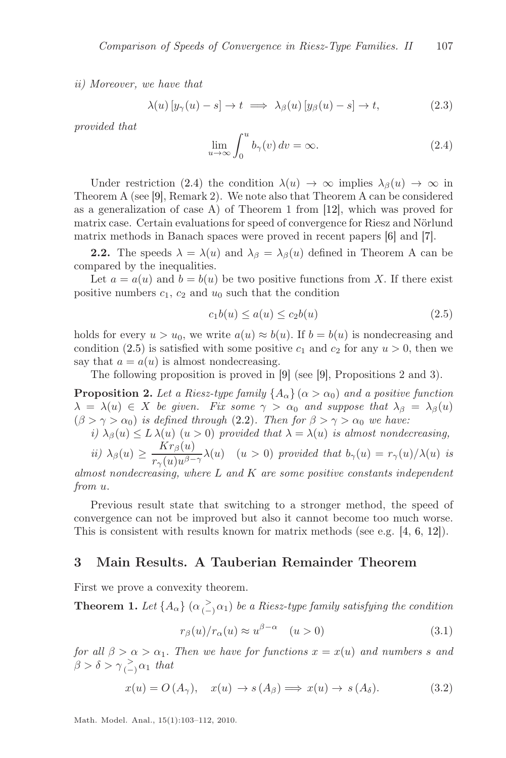*ii) Moreover, we have that*

<span id="page-4-0"></span>
$$
\lambda(u) \left[ y_{\gamma}(u) - s \right] \to t \implies \lambda_{\beta}(u) \left[ y_{\beta}(u) - s \right] \to t,
$$
\n(2.3)

*provided that*

<span id="page-4-5"></span>
$$
\lim_{u \to \infty} \int_0^u b_\gamma(v) \, dv = \infty. \tag{2.4}
$$

Under restriction [\(2.4\)](#page-4-0) the condition  $\lambda(u) \to \infty$  implies  $\lambda_{\beta}(u) \to \infty$  in Theorem A (see [\[9\]](#page-9-0), Remark 2). We note also that Theorem A can be considered as a generalization of case A) of Theorem 1 from [\[12\]](#page-9-4), which was proved for matrix case. Certain evaluations for speed of convergence for Riesz and Nörlund matrix methods in Banach spaces were proved in recent papers [\[6\]](#page-9-9) and [\[7\]](#page-9-10).

**2.2.** The speeds  $\lambda = \lambda(u)$  and  $\lambda_{\beta} = \lambda_{\beta}(u)$  defined in Theorem A can be compared by the inequalities.

Let  $a = a(u)$  and  $b = b(u)$  be two positive functions from X. If there exist positive numbers  $c_1$ ,  $c_2$  and  $u_0$  such that the condition

<span id="page-4-1"></span>
$$
c_1b(u) \le a(u) \le c_2b(u) \tag{2.5}
$$

holds for every  $u > u_0$ , we write  $a(u) \approx b(u)$ . If  $b = b(u)$  is nondecreasing and condition [\(2.5\)](#page-4-1) is satisfied with some positive  $c_1$  and  $c_2$  for any  $u > 0$ , then we say that  $a = a(u)$  is almost nondecreasing.

The following proposition is proved in [\[9\]](#page-9-0) (see [\[9\]](#page-9-0), Propositions 2 and 3).

**Proposition 2.** Let a Riesz-type family  $\{A_{\alpha}\}\ ( \alpha > \alpha_0 \)$  and a positive function  $\lambda = \lambda(u) \in X$  *be given. Fix some*  $\gamma > \alpha_0$  *and suppose that*  $\lambda_\beta = \lambda_\beta(u)$  $(\beta > \gamma > \alpha_0)$  *is defined through* [\(2.2\)](#page-3-1). Then for  $\beta > \gamma > \alpha_0$  we have:

*i)*  $\lambda_{\beta}(u) \leq L \lambda(u)$  ( $u > 0$ ) *provided that*  $\lambda = \lambda(u)$  *is almost nondecreasing,* 

*ii)* 
$$
\lambda_{\beta}(u) \ge \frac{Kr_{\beta}(u)}{r_{\gamma}(u)u^{\beta-\gamma}}\lambda(u) \quad (u>0)
$$
 provided that  $b_{\gamma}(u) = r_{\gamma}(u)/\lambda(u)$  is

*almost nondecreasing, where* L *and* K *are some positive constants independent from* u.

Previous result state that switching to a stronger method, the speed of convergence can not be improved but also it cannot become too much worse. This is consistent with results known for matrix methods (see e.g. [\[4,](#page-9-1) [6,](#page-9-9) [12\]](#page-9-4)).

#### 3 Main Results. A Tauberian Remainder Theorem

First we prove a convexity theorem.

**Theorem 1.** Let  $\{A_{\alpha}\}\ ( \alpha \geq \alpha_1)$  be a Riesz-type family satisfying the condition

<span id="page-4-4"></span><span id="page-4-2"></span>
$$
r_{\beta}(u)/r_{\alpha}(u) \approx u^{\beta-\alpha} \quad (u>0)
$$
\n(3.1)

*for all*  $\beta > \alpha > \alpha_1$ *. Then we have for functions*  $x = x(u)$  *and numbers* s and  $\beta > \delta > \gamma \frac{1}{(-)} \alpha_1$  that

<span id="page-4-3"></span>
$$
x(u) = O(A_{\gamma}), \quad x(u) \to s(A_{\beta}) \Longrightarrow x(u) \to s(A_{\delta}). \tag{3.2}
$$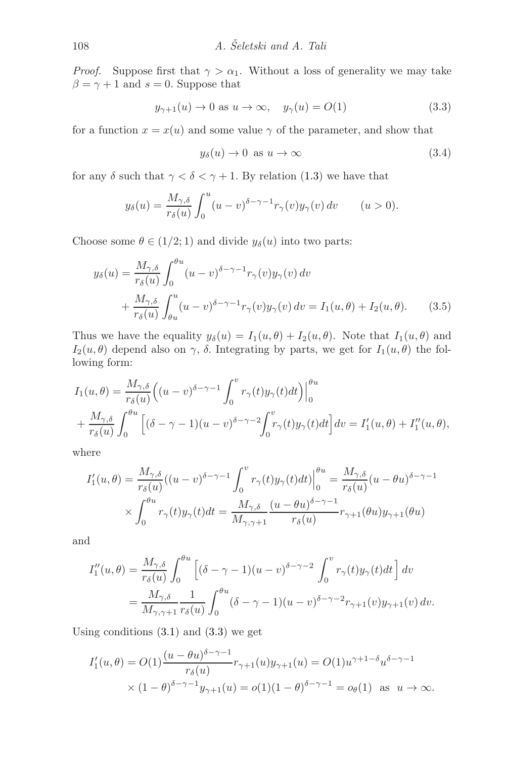*Proof.* Suppose first that  $\gamma > \alpha_1$ . Without a loss of generality we may take  $\beta = \gamma + 1$  and  $s = 0$ . Suppose that

<span id="page-5-0"></span>
$$
y_{\gamma+1}(u) \to 0 \text{ as } u \to \infty, \quad y_{\gamma}(u) = O(1) \tag{3.3}
$$

for a function  $x = x(u)$  and some value  $\gamma$  of the parameter, and show that

<span id="page-5-2"></span><span id="page-5-1"></span>
$$
y_{\delta}(u) \to 0 \text{ as } u \to \infty \tag{3.4}
$$

for any  $\delta$  such that  $\gamma < \delta < \gamma + 1$ . By relation [\(1.3\)](#page-2-2) we have that

$$
y_{\delta}(u) = \frac{M_{\gamma,\delta}}{r_{\delta}(u)} \int_0^u (u-v)^{\delta-\gamma-1} r_{\gamma}(v) y_{\gamma}(v) dv \qquad (u>0).
$$

Choose some  $\theta \in (1/2; 1)$  and divide  $y_{\delta}(u)$  into two parts:

$$
y_{\delta}(u) = \frac{M_{\gamma,\delta}}{r_{\delta}(u)} \int_0^{\theta u} (u-v)^{\delta-\gamma-1} r_{\gamma}(v) y_{\gamma}(v) dv
$$
  
+ 
$$
\frac{M_{\gamma,\delta}}{r_{\delta}(u)} \int_{\theta u}^u (u-v)^{\delta-\gamma-1} r_{\gamma}(v) y_{\gamma}(v) dv = I_1(u,\theta) + I_2(u,\theta).
$$
 (3.5)

Thus we have the equality  $y_\delta(u) = I_1(u, \theta) + I_2(u, \theta)$ . Note that  $I_1(u, \theta)$  and  $I_2(u, \theta)$  depend also on  $\gamma$ ,  $\delta$ . Integrating by parts, we get for  $I_1(u, \theta)$  the following form:

$$
I_1(u,\theta) = \frac{M_{\gamma,\delta}}{r_{\delta}(u)} \Big( (u-v)^{\delta-\gamma-1} \int_0^v r_{\gamma}(t) y_{\gamma}(t) dt \Big) \Big|_0^{\theta u}
$$
  
+ 
$$
\frac{M_{\gamma,\delta}}{r_{\delta}(u)} \int_0^{\theta u} \Big[ (\delta-\gamma-1)(u-v)^{\delta-\gamma-2} \int_0^v r_{\gamma}(t) y_{\gamma}(t) dt \Big] dv = I'_1(u,\theta) + I''_1(u,\theta),
$$

where

$$
I'_1(u,\theta) = \frac{M_{\gamma,\delta}}{r_{\delta}(u)}((u-v)^{\delta-\gamma-1}\int_0^v r_{\gamma}(t)y_{\gamma}(t)dt)\Big|_0^{\theta u} = \frac{M_{\gamma,\delta}}{r_{\delta}(u)}(u-\theta u)^{\delta-\gamma-1}
$$

$$
\times \int_0^{\theta u} r_{\gamma}(t)y_{\gamma}(t)dt = \frac{M_{\gamma,\delta}}{M_{\gamma,\gamma+1}}\frac{(u-\theta u)^{\delta-\gamma-1}}{r_{\delta}(u)}r_{\gamma+1}(\theta u)y_{\gamma+1}(\theta u)
$$

and

$$
I_1''(u,\theta) = \frac{M_{\gamma,\delta}}{r_{\delta}(u)} \int_0^{\theta u} \left[ (\delta - \gamma - 1)(u - v)^{\delta - \gamma - 2} \int_0^v r_{\gamma}(t) y_{\gamma}(t) dt \right] dv
$$
  
= 
$$
\frac{M_{\gamma,\delta}}{M_{\gamma,\gamma+1}} \frac{1}{r_{\delta}(u)} \int_0^{\theta u} (\delta - \gamma - 1)(u - v)^{\delta - \gamma - 2} r_{\gamma+1}(v) y_{\gamma+1}(v) dv.
$$

Using conditions  $(3.1)$  and  $(3.3)$  we get

$$
I'_1(u, \theta) = O(1) \frac{(u - \theta u)^{\delta - \gamma - 1}}{r_{\delta}(u)} r_{\gamma + 1}(u) y_{\gamma + 1}(u) = O(1) u^{\gamma + 1 - \delta} u^{\delta - \gamma - 1}
$$
  
 
$$
\times (1 - \theta)^{\delta - \gamma - 1} y_{\gamma + 1}(u) = o(1)(1 - \theta)^{\delta - \gamma - 1} = o_{\theta}(1) \text{ as } u \to \infty.
$$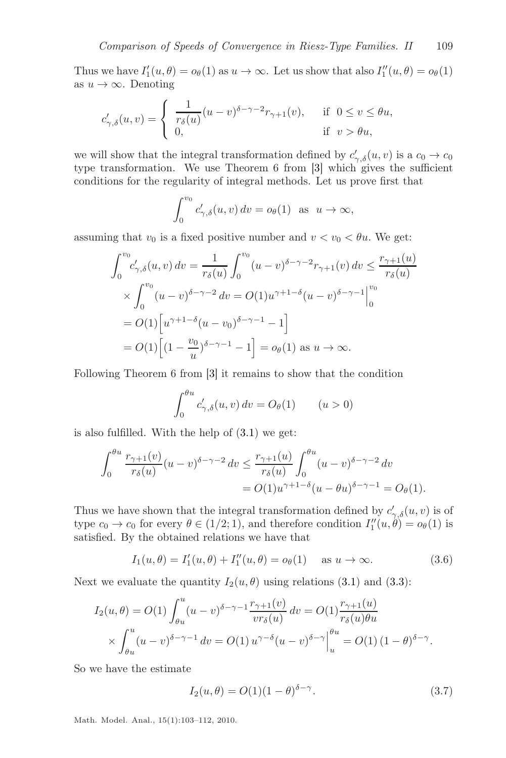Thus we have  $I'_1(u, \theta) = o_\theta(1)$  as  $u \to \infty$ . Let us show that also  $I''_1(u, \theta) = o_\theta(1)$ as  $u \to \infty$ . Denoting

$$
c'_{\gamma,\delta}(u,v) = \begin{cases} \frac{1}{r_{\delta}(u)} (u-v)^{\delta-\gamma-2} r_{\gamma+1}(v), & \text{if } 0 \le v \le \theta u, \\ 0, & \text{if } v > \theta u, \end{cases}
$$

we will show that the integral transformation defined by  $c'_{\gamma,\delta}(u,v)$  is a  $c_0 \to c_0$ type transformation. We use Theorem 6 from [\[3\]](#page-9-11) which gives the sufficient conditions for the regularity of integral methods. Let us prove first that

$$
\int_0^{v_0} c'_{\gamma,\delta}(u,v) dv = o_{\theta}(1) \text{ as } u \to \infty,
$$

assuming that  $v_0$  is a fixed positive number and  $v < v_0 < \theta u$ . We get:

$$
\int_0^{v_0} c'_{\gamma,\delta}(u,v) dv = \frac{1}{r_{\delta}(u)} \int_0^{v_0} (u-v)^{\delta-\gamma-2} r_{\gamma+1}(v) dv \le \frac{r_{\gamma+1}(u)}{r_{\delta}(u)}
$$
  
 
$$
\times \int_0^{v_0} (u-v)^{\delta-\gamma-2} dv = O(1) u^{\gamma+1-\delta} (u-v)^{\delta-\gamma-1} \Big|_0^{v_0}
$$
  
=  $O(1) \Big[ u^{\gamma+1-\delta} (u-v_0)^{\delta-\gamma-1} - 1 \Big]$   
=  $O(1) \Big[ (1 - \frac{v_0}{u})^{\delta-\gamma-1} - 1 \Big] = o_{\theta}(1)$  as  $u \to \infty$ .

Following Theorem 6 from [\[3\]](#page-9-11) it remains to show that the condition

$$
\int_0^{\theta u} c'_{\gamma,\delta}(u,v) dv = O_{\theta}(1) \qquad (u > 0)
$$

is also fulfilled. With the help of [\(3.1\)](#page-4-2) we get:

$$
\int_0^{\theta u} \frac{r_{\gamma+1}(v)}{r_{\delta}(u)} (u-v)^{\delta-\gamma-2} dv \le \frac{r_{\gamma+1}(u)}{r_{\delta}(u)} \int_0^{\theta u} (u-v)^{\delta-\gamma-2} dv
$$
  
=  $O(1)u^{\gamma+1-\delta}(u-\theta u)^{\delta-\gamma-1} = O(\theta).$ 

Thus we have shown that the integral transformation defined by  $c'_{\gamma,\delta}(u,v)$  is of type  $c_0 \to c_0$  for every  $\theta \in (1/2, 1)$ , and therefore condition  $I''_1(u, \theta) = o_\theta(1)$  is satisfied. By the obtained relations we have that

<span id="page-6-1"></span>
$$
I_1(u, \theta) = I'_1(u, \theta) + I''_1(u, \theta) = o_{\theta}(1) \quad \text{as } u \to \infty.
$$
 (3.6)

Next we evaluate the quantity  $I_2(u, \theta)$  using relations [\(3.1\)](#page-4-2) and [\(3.3\)](#page-5-0):

$$
I_2(u, \theta) = O(1) \int_{\theta u}^{u} (u - v)^{\delta - \gamma - 1} \frac{r_{\gamma + 1}(v)}{vr_{\delta}(u)} dv = O(1) \frac{r_{\gamma + 1}(u)}{r_{\delta}(u)\theta u} \times \int_{\theta u}^{u} (u - v)^{\delta - \gamma - 1} dv = O(1) u^{\gamma - \delta} (u - v)^{\delta - \gamma} \Big|_{u}^{u} = O(1) (1 - \theta)^{\delta - \gamma}.
$$

So we have the estimate

<span id="page-6-0"></span>
$$
I_2(u, \theta) = O(1)(1 - \theta)^{\delta - \gamma}.
$$
 (3.7)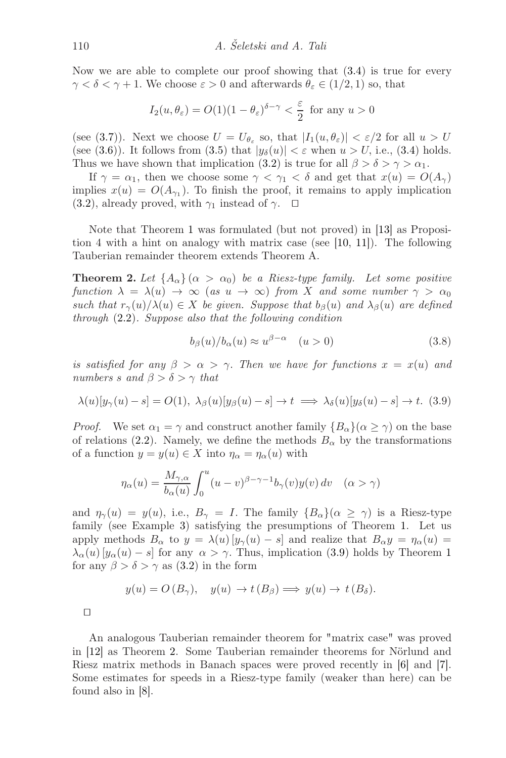Now we are able to complete our proof showing that [\(3.4\)](#page-5-1) is true for every  $\gamma < \delta < \gamma + 1$ . We choose  $\varepsilon > 0$  and afterwards  $\theta_{\varepsilon} \in (1/2, 1)$  so, that

$$
I_2(u, \theta_{\varepsilon}) = O(1)(1 - \theta_{\varepsilon})^{\delta - \gamma} < \frac{\varepsilon}{2}
$$
 for any  $u > 0$ 

(see [\(3.7\)](#page-6-0)). Next we choose  $U = U_{\theta_{\varepsilon}}$  so, that  $|I_1(u, \theta_{\varepsilon})| < \varepsilon/2$  for all  $u > U$ (see [\(3.6\)](#page-6-1)). It follows from [\(3.5\)](#page-5-2) that  $|y_\delta(u)| < \varepsilon$  when  $u > U$ , i.e., [\(3.4\)](#page-5-1) holds. Thus we have shown that implication [\(3.2\)](#page-4-3) is true for all  $\beta > \delta > \gamma > \alpha_1$ .

If  $\gamma = \alpha_1$ , then we choose some  $\gamma < \gamma_1 < \delta$  and get that  $x(u) = O(A_{\gamma})$ implies  $x(u) = O(A_{\gamma_1})$ . To finish the proof, it remains to apply implication [\(3.2\)](#page-4-3), already proved, with  $\gamma_1$  instead of  $\gamma$ . □

<span id="page-7-1"></span>Note that Theorem [1](#page-4-4) was formulated (but not proved) in [\[13\]](#page-9-5) as Proposition 4 with a hint on analogy with matrix case (see  $[10, 11]$  $[10, 11]$ ). The following Tauberian remainder theorem extends Theorem A.

**Theorem 2.** Let  $\{A_{\alpha}\}\ (\alpha > \alpha_0)$  be a Riesz-type family. Let some positive *function*  $\lambda = \lambda(u) \rightarrow \infty$  (*as*  $u \rightarrow \infty$ ) *from* X *and some number*  $\gamma > \alpha_0$ *such that*  $r_{\gamma}(u)/\lambda(u) \in X$  *be given. Suppose that*  $b_{\beta}(u)$  *and*  $\lambda_{\beta}(u)$  *are defined through* [\(2.2\)](#page-3-1)*. Suppose also that the following condition*

<span id="page-7-2"></span><span id="page-7-0"></span>
$$
b_{\beta}(u)/b_{\alpha}(u) \approx u^{\beta-\alpha} \quad (u>0)
$$
\n(3.8)

*is satisfied for any*  $\beta > \alpha > \gamma$ . Then we have for functions  $x = x(u)$  and *numbers s* and  $\beta > \delta > \gamma$  *that* 

$$
\lambda(u)[y_{\gamma}(u) - s] = O(1), \ \lambda_{\beta}(u)[y_{\beta}(u) - s] \to t \implies \lambda_{\delta}(u)[y_{\delta}(u) - s] \to t. \tag{3.9}
$$

*Proof.* We set  $\alpha_1 = \gamma$  and construct another family  $\{B_\alpha\}$  ( $\alpha \geq \gamma$ ) on the base of relations [\(2.2\)](#page-3-1). Namely, we define the methods  $B_{\alpha}$  by the transformations of a function  $y = y(u) \in X$  into  $\eta_{\alpha} = \eta_{\alpha}(u)$  with

$$
\eta_{\alpha}(u) = \frac{M_{\gamma,\alpha}}{b_{\alpha}(u)} \int_0^u (u-v)^{\beta-\gamma-1} b_{\gamma}(v) y(v) \, dv \quad (\alpha > \gamma)
$$

and  $\eta_{\gamma}(u) = y(u)$ , i.e.,  $B_{\gamma} = I$ . The family  $\{B_{\alpha}\}(\alpha \geq \gamma)$  is a Riesz-type family (see Example [3\)](#page-3-2) satisfying the presumptions of Theorem [1.](#page-4-4) Let us apply methods  $B_{\alpha}$  to  $y = \lambda(u) [y_{\gamma}(u) - s]$  and realize that  $B_{\alpha}y = \eta_{\alpha}(u) =$  $\lambda_{\alpha}(u) [y_{\alpha}(u) - s]$  for any  $\alpha > \gamma$ . Thus, implication [\(3.9\)](#page-7-0) holds by Theorem [1](#page-4-4) for any  $\beta > \delta > \gamma$  as [\(3.2\)](#page-4-3) in the form

$$
y(u) = O(B_{\gamma}), \quad y(u) \to t(B_{\beta}) \implies y(u) \to t(B_{\delta}).
$$

⊓⊔

An analogous Tauberian remainder theorem for "matrix case" was proved in [\[12\]](#page-9-4) as Theorem [2.](#page-7-1) Some Tauberian remainder theorems for Nörlund and Riesz matrix methods in Banach spaces were proved recently in [\[6\]](#page-9-9) and [\[7\]](#page-9-10). Some estimates for speeds in a Riesz-type family (weaker than here) can be found also in [\[8\]](#page-9-3).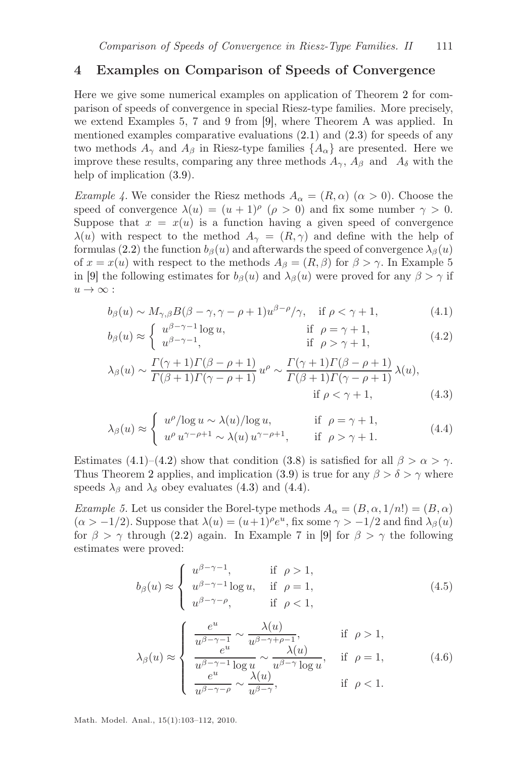### 4 Examples on Comparison of Speeds of Convergence

Here we give some numerical examples on application of Theorem [2](#page-7-1) for comparison of speeds of convergence in special Riesz-type families. More precisely, we extend Examples 5, 7 and 9 from [\[9\]](#page-9-0), where Theorem A was applied. In mentioned examples comparative evaluations  $(2.1)$  and  $(2.3)$  for speeds of any two methods  $A_{\gamma}$  and  $A_{\beta}$  in Riesz-type families  $\{A_{\alpha}\}\$ are presented. Here we improve these results, comparing any three methods  $A_{\gamma}$ ,  $A_{\beta}$  and  $A_{\delta}$  with the help of implication  $(3.9)$ .

*Example 4.* We consider the Riesz methods  $A_{\alpha} = (R, \alpha)$  ( $\alpha > 0$ ). Choose the speed of convergence  $\lambda(u) = (u+1)^\rho$   $(\rho > 0)$  and fix some number  $\gamma > 0$ . Suppose that  $x = x(u)$  is a function having a given speed of convergence  $\lambda(u)$  with respect to the method  $A_{\gamma} = (R, \gamma)$  and define with the help of formulas [\(2.2\)](#page-3-1) the function  $b_\beta(u)$  and afterwards the speed of convergence  $\lambda_\beta(u)$ of  $x = x(u)$  with respect to the methods  $A_\beta = (R, \beta)$  for  $\beta > \gamma$ . In Example 5 in [\[9\]](#page-9-0) the following estimates for  $b_\beta(u)$  and  $\lambda_\beta(u)$  were proved for any  $\beta > \gamma$  if  $u \to \infty$ :

<span id="page-8-0"></span>
$$
b_{\beta}(u) \sim M_{\gamma,\beta} B(\beta - \gamma, \gamma - \rho + 1) u^{\beta - \rho}/\gamma, \quad \text{if } \rho < \gamma + 1,
$$
 (4.1)

<span id="page-8-1"></span>
$$
b_{\beta}(u) \approx \begin{cases} u^{\beta - \gamma - 1} \log u, & \text{if } \rho = \gamma + 1, \\ u^{\beta - \gamma - 1}, & \text{if } \rho > \gamma + 1, \end{cases}
$$
(4.2)

<span id="page-8-2"></span>
$$
\lambda_{\beta}(u) \sim \frac{\Gamma(\gamma+1)\Gamma(\beta-\rho+1)}{\Gamma(\beta+1)\Gamma(\gamma-\rho+1)} u^{\rho} \sim \frac{\Gamma(\gamma+1)\Gamma(\beta-\rho+1)}{\Gamma(\beta+1)\Gamma(\gamma-\rho+1)} \lambda(u),
$$
  
if  $\rho < \gamma + 1$ , (4.3)

<span id="page-8-3"></span>
$$
\lambda_{\beta}(u) \approx \begin{cases} u^{\rho}/\log u \sim \lambda(u)/\log u, & \text{if } \rho = \gamma + 1, \\ u^{\rho} u^{\gamma - \rho + 1} \sim \lambda(u) u^{\gamma - \rho + 1}, & \text{if } \rho > \gamma + 1. \end{cases}
$$
(4.4)

Estimates [\(4.1\)](#page-8-0)–[\(4.2\)](#page-8-1) show that condition [\(3.8\)](#page-7-2) is satisfied for all  $\beta > \alpha > \gamma$ . Thus Theorem [2](#page-7-1) applies, and implication [\(3.9\)](#page-7-0) is true for any  $\beta > \delta > \gamma$  where speeds  $\lambda_{\beta}$  and  $\lambda_{\delta}$  obey evaluates [\(4.3\)](#page-8-2) and [\(4.4\)](#page-8-3).

*Example 5.* Let us consider the Borel-type methods  $A_{\alpha} = (B, \alpha, 1/n!) = (B, \alpha)$  $(\alpha > -1/2)$ . Suppose that  $\lambda(u) = (u+1)^{\rho} e^{u}$ , fix some  $\gamma > -1/2$  and find  $\lambda_{\beta}(u)$ for  $\beta > \gamma$  through [\(2.2\)](#page-3-1) again. In Example 7 in [\[9\]](#page-9-0) for  $\beta > \gamma$  the following estimates were proved:

<span id="page-8-4"></span>
$$
b_{\beta}(u) \approx \begin{cases} u^{\beta-\gamma-1}, & \text{if } \rho > 1, \\ u^{\beta-\gamma-1} \log u, & \text{if } \rho = 1, \\ u^{\beta-\gamma-\rho}, & \text{if } \rho < 1, \end{cases}
$$
 (4.5)

<span id="page-8-5"></span>
$$
\lambda_{\beta}(u) \approx \begin{cases}\n\frac{e^u}{u^{\beta-\gamma-1}} \sim \frac{\lambda(u)}{u^{\beta-\gamma+\rho-1}}, & \text{if } \rho > 1, \\
\frac{e^u}{u^{\beta-\gamma-1}\log u} \sim \frac{\lambda(u)}{u^{\beta-\gamma}\log u}, & \text{if } \rho = 1, \\
\frac{e^u}{u^{\beta-\gamma-\rho}} \sim \frac{\lambda(u)}{u^{\beta-\gamma}}, & \text{if } \rho < 1.\n\end{cases} (4.6)
$$